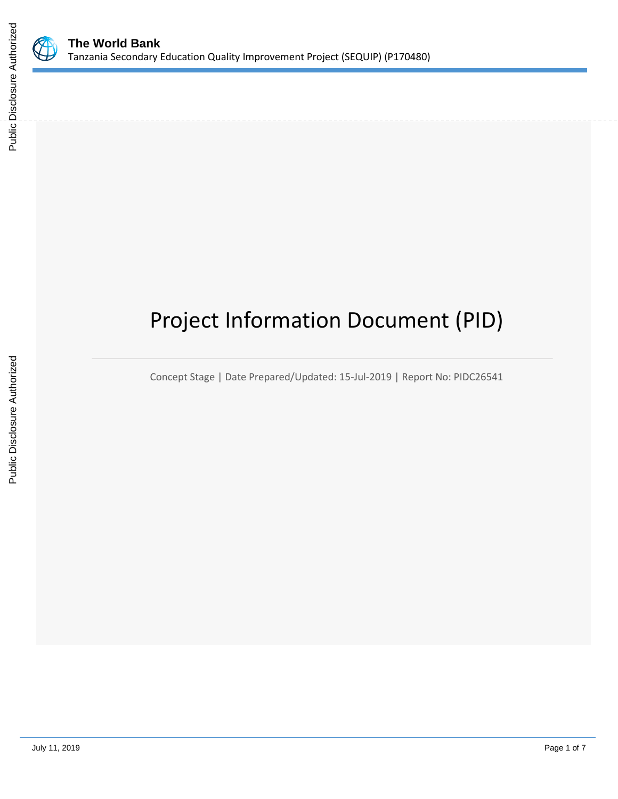

# Project Information Document (PID)

Concept Stage | Date Prepared/Updated: 15-Jul-2019 | Report No: PIDC26541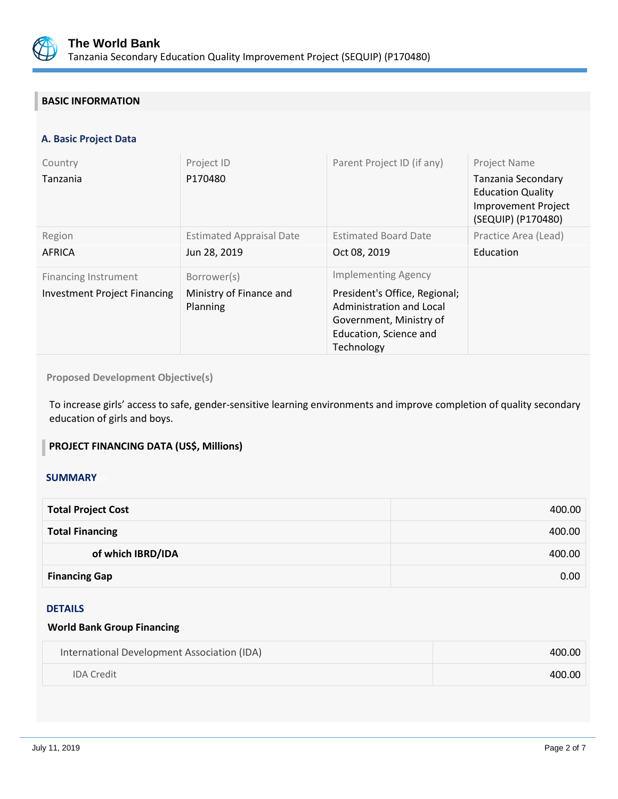

## **BASIC INFORMATION**

#### **A. Basic Project Data**

| Country<br>Tanzania                                                | Project ID<br>P170480                              | Parent Project ID (if any)                                                                                                                                 | <b>Project Name</b><br>Tanzania Secondary<br><b>Education Quality</b><br><b>Improvement Project</b><br>(SEQUIP) (P170480) |
|--------------------------------------------------------------------|----------------------------------------------------|------------------------------------------------------------------------------------------------------------------------------------------------------------|---------------------------------------------------------------------------------------------------------------------------|
| Region<br><b>AFRICA</b>                                            | <b>Estimated Appraisal Date</b><br>Jun 28, 2019    | <b>Estimated Board Date</b><br>Oct 08, 2019                                                                                                                | Practice Area (Lead)<br>Education                                                                                         |
| <b>Financing Instrument</b><br><b>Investment Project Financing</b> | Borrower(s)<br>Ministry of Finance and<br>Planning | <b>Implementing Agency</b><br>President's Office, Regional;<br>Administration and Local<br>Government, Ministry of<br>Education, Science and<br>Technology |                                                                                                                           |

**Proposed Development Objective(s)** 

To increase girls' access to safe, gender-sensitive learning environments and improve completion of quality secondary education of girls and boys.

#### **PROJECT FINANCING DATA (US\$, Millions)**

#### **SUMMARY**

| <b>Total Project Cost</b> | 400.00 |
|---------------------------|--------|
| <b>Total Financing</b>    | 400.00 |
| of which IBRD/IDA         | 400.00 |
| <b>Financing Gap</b>      | 0.00   |

#### DETAILS

#### **World Bank Group Financing**

| International Development Association (IDA) | 400.00 |
|---------------------------------------------|--------|
| <b>IDA</b> Credit                           | 400.00 |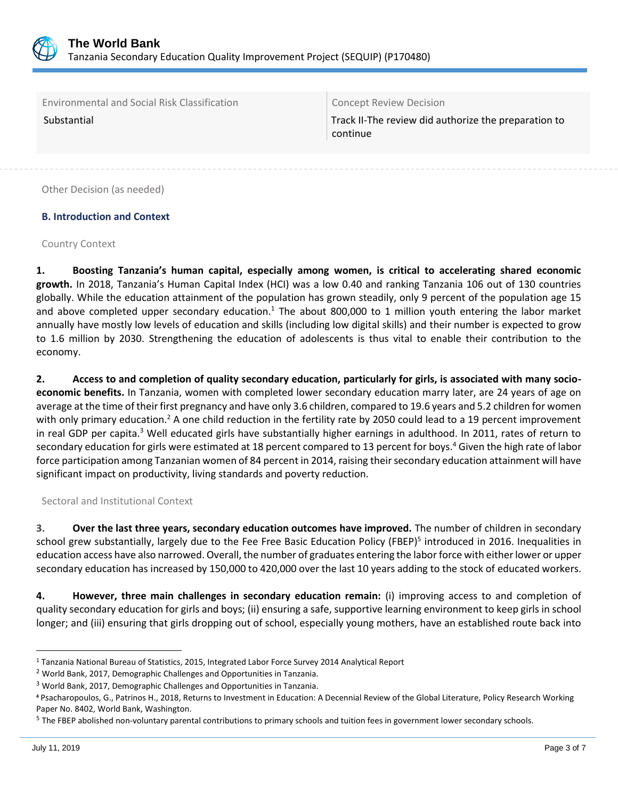

Environmental and Social Risk Classification Concept Review Decision

Substantial Track II-The review did authorize the preparation to continue

Other Decision (as needed)

## **B. Introduction and Context**

#### Country Context

**1. Boosting Tanzania's human capital, especially among women, is critical to accelerating shared economic growth.** In 2018, Tanzania's Human Capital Index (HCI) was a low 0.40 and ranking Tanzania 106 out of 130 countries globally. While the education attainment of the population has grown steadily, only 9 percent of the population age 15 and above completed upper secondary education.<sup>1</sup> The about 800,000 to 1 million youth entering the labor market annually have mostly low levels of education and skills (including low digital skills) and their number is expected to grow to 1.6 million by 2030. Strengthening the education of adolescents is thus vital to enable their contribution to the economy.

**2. Access to and completion of quality secondary education, particularly for girls, is associated with many socioeconomic benefits.** In Tanzania, women with completed lower secondary education marry later, are 24 years of age on average at the time of their first pregnancy and have only 3.6 children, compared to 19.6 years and 5.2 children for women with only primary education.<sup>2</sup> A one child reduction in the fertility rate by 2050 could lead to a 19 percent improvement in real GDP per capita.<sup>3</sup> Well educated girls have substantially higher earnings in adulthood. In 2011, rates of return to secondary education for girls were estimated at 18 percent compared to 13 percent for boys.<sup>4</sup> Given the high rate of labor force participation among Tanzanian women of 84 percent in 2014, raising their secondary education attainment will have significant impact on productivity, living standards and poverty reduction.

Sectoral and Institutional Context

**3. Over the last three years, secondary education outcomes have improved.** The number of children in secondary school grew substantially, largely due to the Fee Free Basic Education Policy (FBEP)<sup>5</sup> introduced in 2016. Inequalities in education access have also narrowed. Overall, the number of graduates entering the labor force with either lower or upper secondary education has increased by 150,000 to 420,000 over the last 10 years adding to the stock of educated workers.

**4. However, three main challenges in secondary education remain:** (i) improving access to and completion of quality secondary education for girls and boys; (ii) ensuring a safe, supportive learning environment to keep girls in school longer; and (iii) ensuring that girls dropping out of school, especially young mothers, have an established route back into

 $\overline{a}$ <sup>1</sup> Tanzania National Bureau of Statistics, 2015, Integrated Labor Force Survey 2014 Analytical Report

<sup>2</sup> World Bank, 2017, Demographic Challenges and Opportunities in Tanzania.

<sup>3</sup> World Bank, 2017, Demographic Challenges and Opportunities in Tanzania.

**<sup>4</sup>** Psacharopoulos, G., Patrinos H., 2018, Returns to Investment in Education: A Decennial Review of the Global Literature, Policy Research Working Paper No. 8402, World Bank, Washington.

<sup>&</sup>lt;sup>5</sup> The FBEP abolished non-voluntary parental contributions to primary schools and tuition fees in government lower secondary schools.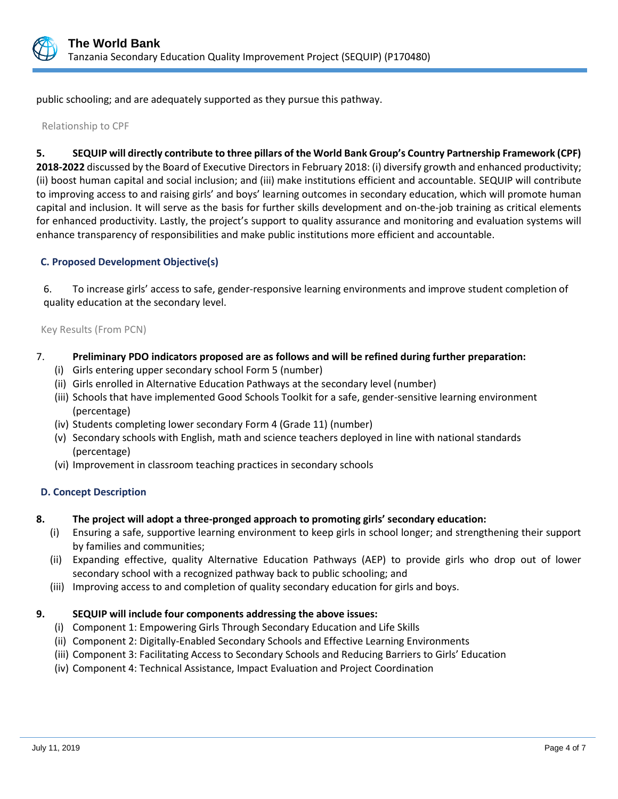

public schooling; and are adequately supported as they pursue this pathway.

Relationship to CPF

#### **5. SEQUIP will directly contribute to three pillars of the World Bank Group's Country Partnership Framework (CPF)**

**2018-2022** discussed by the Board of Executive Directors in February 2018: (i) diversify growth and enhanced productivity; (ii) boost human capital and social inclusion; and (iii) make institutions efficient and accountable. SEQUIP will contribute to improving access to and raising girls' and boys' learning outcomes in secondary education, which will promote human capital and inclusion. It will serve as the basis for further skills development and on-the-job training as critical elements for enhanced productivity. Lastly, the project's support to quality assurance and monitoring and evaluation systems will enhance transparency of responsibilities and make public institutions more efficient and accountable.

#### **C. Proposed Development Objective(s)**

6. To increase girls' access to safe, gender-responsive learning environments and improve student completion of quality education at the secondary level.

Key Results (From PCN)

#### 7. **Preliminary PDO indicators proposed are as follows and will be refined during further preparation:**

- (i) Girls entering upper secondary school Form 5 (number)
- (ii) Girls enrolled in Alternative Education Pathways at the secondary level (number)
- (iii) Schools that have implemented Good Schools Toolkit for a safe, gender-sensitive learning environment (percentage)
- (iv) Students completing lower secondary Form 4 (Grade 11) (number)
- (v) Secondary schools with English, math and science teachers deployed in line with national standards (percentage)
- (vi) Improvement in classroom teaching practices in secondary schools

#### **D. Concept Description**

- **8. The project will adopt a three-pronged approach to promoting girls' secondary education:** 
	- (i) Ensuring a safe, supportive learning environment to keep girls in school longer; and strengthening their support by families and communities;
	- (ii) Expanding effective, quality Alternative Education Pathways (AEP) to provide girls who drop out of lower secondary school with a recognized pathway back to public schooling; and
	- (iii) Improving access to and completion of quality secondary education for girls and boys.

#### **9. SEQUIP will include four components addressing the above issues:**

- (i) Component 1: Empowering Girls Through Secondary Education and Life Skills
- (ii) Component 2: Digitally-Enabled Secondary Schools and Effective Learning Environments
- (iii) Component 3: Facilitating Access to Secondary Schools and Reducing Barriers to Girls' Education
- (iv) Component 4: Technical Assistance, Impact Evaluation and Project Coordination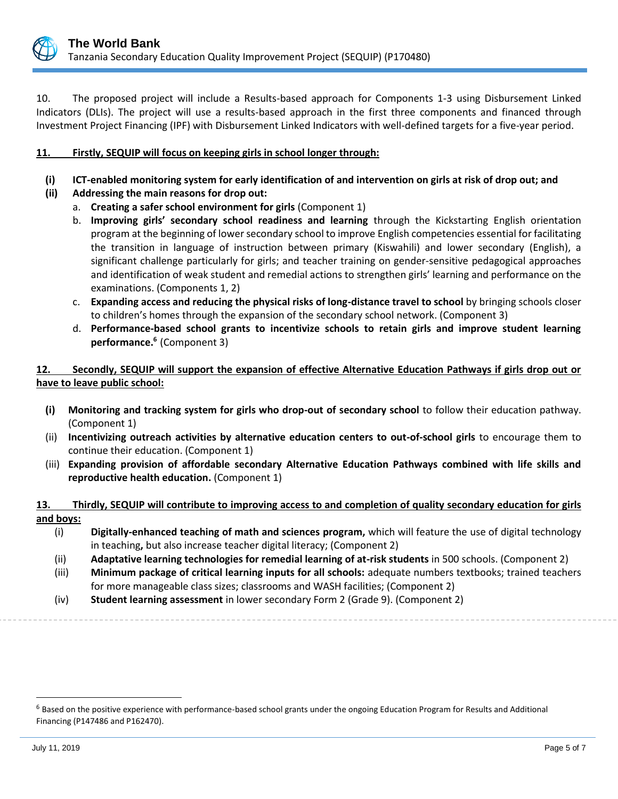

10. The proposed project will include a Results-based approach for Components 1-3 using Disbursement Linked Indicators (DLIs). The project will use a results-based approach in the first three components and financed through Investment Project Financing (IPF) with Disbursement Linked Indicators with well-defined targets for a five-year period.

### **11. Firstly, SEQUIP will focus on keeping girls in school longer through:**

- **(i) ICT-enabled monitoring system for early identification of and intervention on girls at risk of drop out; and**
- **(ii) Addressing the main reasons for drop out:** 
	- a. **Creating a safer school environment for girls** (Component 1)
	- b. **Improving girls' secondary school readiness and learning** through the Kickstarting English orientation program at the beginning of lower secondary school to improve English competencies essential for facilitating the transition in language of instruction between primary (Kiswahili) and lower secondary (English), a significant challenge particularly for girls; and teacher training on gender-sensitive pedagogical approaches and identification of weak student and remedial actions to strengthen girls' learning and performance on the examinations. (Components 1, 2)
	- c. **Expanding access and reducing the physical risks of long-distance travel to school** by bringing schools closer to children's homes through the expansion of the secondary school network. (Component 3)
	- d. **Performance-based school grants to incentivize schools to retain girls and improve student learning performance.<sup>6</sup>** (Component 3)

## **12. Secondly, SEQUIP will support the expansion of effective Alternative Education Pathways if girls drop out or have to leave public school:**

- **(i) Monitoring and tracking system for girls who drop-out of secondary school** to follow their education pathway. (Component 1)
- (ii) **Incentivizing outreach activities by alternative education centers to out-of-school girls** to encourage them to continue their education. (Component 1)
- (iii) **Expanding provision of affordable secondary Alternative Education Pathways combined with life skills and reproductive health education.** (Component 1)

#### **13. Thirdly, SEQUIP will contribute to improving access to and completion of quality secondary education for girls and boys:**

- (i) **Digitally-enhanced teaching of math and sciences program,** which will feature the use of digital technology in teaching**,** but also increase teacher digital literacy; (Component 2)
- (ii) **Adaptative learning technologies for remedial learning of at-risk students** in 500 schools. (Component 2)
- (iii) **Minimum package of critical learning inputs for all schools:** adequate numbers textbooks; trained teachers for more manageable class sizes; classrooms and WASH facilities; (Component 2)
- (iv) **Student learning assessment** in lower secondary Form 2 (Grade 9). (Component 2)

 $\overline{a}$ 

<sup>&</sup>lt;sup>6</sup> Based on the positive experience with performance-based school grants under the ongoing Education Program for Results and Additional Financing (P147486 and P162470).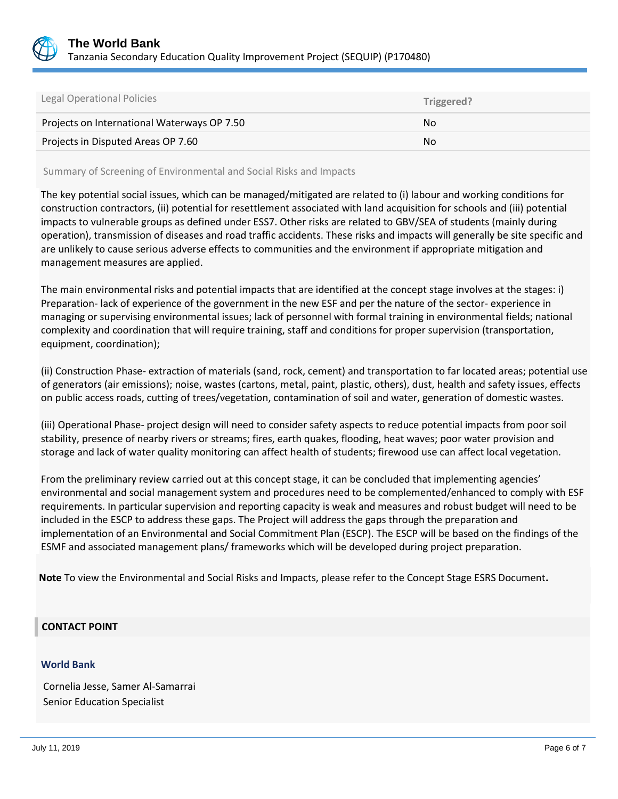

| Legal Operational Policies                  | Triggered? |
|---------------------------------------------|------------|
| Projects on International Waterways OP 7.50 | No.        |
| Projects in Disputed Areas OP 7.60          | No         |

Summary of Screening of Environmental and Social Risks and Impacts

The key potential social issues, which can be managed/mitigated are related to (i) labour and working conditions for construction contractors, (ii) potential for resettlement associated with land acquisition for schools and (iii) potential impacts to vulnerable groups as defined under ESS7. Other risks are related to GBV/SEA of students (mainly during operation), transmission of diseases and road traffic accidents. These risks and impacts will generally be site specific and are unlikely to cause serious adverse effects to communities and the environment if appropriate mitigation and management measures are applied.

The main environmental risks and potential impacts that are identified at the concept stage involves at the stages: i) Preparation- lack of experience of the government in the new ESF and per the nature of the sector- experience in managing or supervising environmental issues; lack of personnel with formal training in environmental fields; national complexity and coordination that will require training, staff and conditions for proper supervision (transportation, equipment, coordination);

(ii) Construction Phase- extraction of materials (sand, rock, cement) and transportation to far located areas; potential use of generators (air emissions); noise, wastes (cartons, metal, paint, plastic, others), dust, health and safety issues, effects on public access roads, cutting of trees/vegetation, contamination of soil and water, generation of domestic wastes.

(iii) Operational Phase- project design will need to consider safety aspects to reduce potential impacts from poor soil stability, presence of nearby rivers or streams; fires, earth quakes, flooding, heat waves; poor water provision and storage and lack of water quality monitoring can affect health of students; firewood use can affect local vegetation.

From the preliminary review carried out at this concept stage, it can be concluded that implementing agencies' environmental and social management system and procedures need to be complemented/enhanced to comply with ESF requirements. In particular supervision and reporting capacity is weak and measures and robust budget will need to be included in the ESCP to address these gaps. The Project will address the gaps through the preparation and implementation of an Environmental and Social Commitment Plan (ESCP). The ESCP will be based on the findings of the ESMF and associated management plans/ frameworks which will be developed during project preparation.

**Note** To view the Environmental and Social Risks and Impacts, please refer to the Concept Stage ESRS Document**.**

## **CONTACT POINT**

#### **World Bank**

Cornelia Jesse, Samer Al-Samarrai Senior Education Specialist